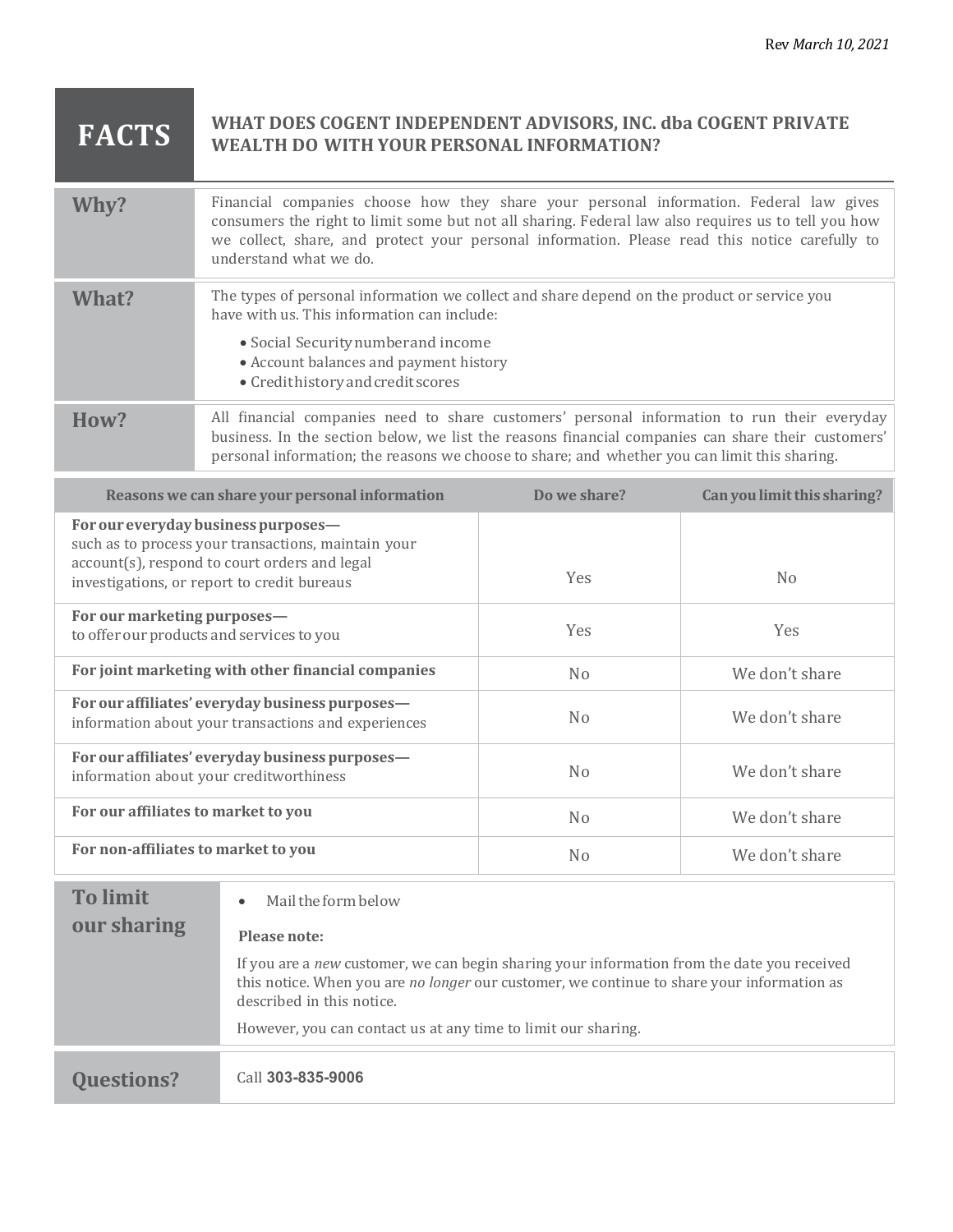## **FACTS** WHAT DOES COGENT INDEPENDENT ADVISORS, INC. dba COGENT PRIVATE WEALTH DO WITH YOUR PERSONAL INFORMATION? **WEALTH DO WITH YOUR PERSONAL INFORMATION?**

| Why?  | Financial companies choose how they share your personal information. Federal law gives<br>consumers the right to limit some but not all sharing. Federal law also requires us to tell you how<br>we collect, share, and protect your personal information. Please read this notice carefully to<br>understand what we do. |
|-------|---------------------------------------------------------------------------------------------------------------------------------------------------------------------------------------------------------------------------------------------------------------------------------------------------------------------------|
| What? | The types of personal information we collect and share depend on the product or service you<br>have with us. This information can include:<br>• Social Security number and income<br>• Account balances and payment history<br>• Credithistory and credit scores                                                          |
| How?  | All financial companies need to share customers' personal information to run their everyday<br>business. In the section below, we list the reasons financial companies can share their customers'<br>personal information; the reasons we choose to share; and whether you can limit this sharing.                        |

| Reasons we can share your personal information                                                                                                                                             | Do we share?   | Can you limit this sharing? |
|--------------------------------------------------------------------------------------------------------------------------------------------------------------------------------------------|----------------|-----------------------------|
| For our everyday business purposes-<br>such as to process your transactions, maintain your<br>account(s), respond to court orders and legal<br>investigations, or report to credit bureaus | <b>Yes</b>     | N <sub>0</sub>              |
| For our marketing purposes-<br>to offer our products and services to you                                                                                                                   | <b>Yes</b>     | <b>Yes</b>                  |
| For joint marketing with other financial companies                                                                                                                                         | N <sub>o</sub> | We don't share              |
| For our affiliates' everyday business purposes-<br>information about your transactions and experiences                                                                                     | No             | We don't share              |
| For our affiliates' everyday business purposes-<br>information about your creditworthiness                                                                                                 | N <sub>0</sub> | We don't share              |
| For our affiliates to market to you                                                                                                                                                        | N <sub>0</sub> | We don't share              |
| For non-affiliates to market to you                                                                                                                                                        | No             | We don't share              |

| <b>To limit</b><br>our sharing | Mail the form below<br>$\bullet$<br>Please note:<br>If you are a new customer, we can begin sharing your information from the date you received<br>this notice. When you are no longer our customer, we continue to share your information as<br>described in this notice. |
|--------------------------------|----------------------------------------------------------------------------------------------------------------------------------------------------------------------------------------------------------------------------------------------------------------------------|
|                                | However, you can contact us at any time to limit our sharing.                                                                                                                                                                                                              |
| <b>Questions?</b>              | Call 303-835-9006                                                                                                                                                                                                                                                          |